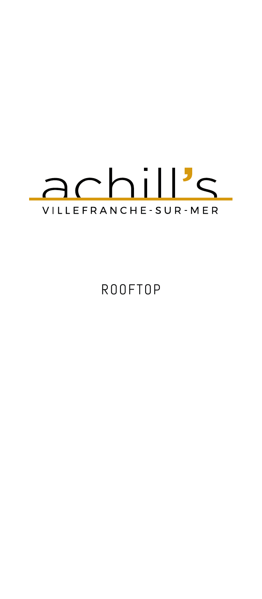

ROOFTOP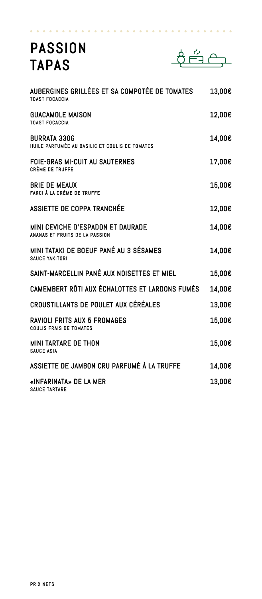## PASSION TAPAS



| AUBERGINES GRILLÉES ET SA COMPOTÉE DE TOMATES<br><b>TOAST FOCACCIA</b> | 13,00€ |
|------------------------------------------------------------------------|--------|
| <b>GUACAMOLE MAISON</b><br><b>TOAST FOCACCIA</b>                       | 12,00€ |
| <b>BURRATA 330G</b><br>HUILE PARFUMÉE AU BASILIC ET COULIS DE TOMATES  | 14,00€ |
| <b>FOIE-GRAS MI-CUIT AU SAUTERNES</b><br><b>CRÈME DE TRUFFE</b>        | 17,00€ |
| <b>BRIE DE MEAUX</b><br><b>FARCI À LA CRÈME DE TRUFFE</b>              | 15,00€ |
| ASSIETTE DE COPPA TRANCHÉE                                             | 12,00€ |
| MINI CEVICHE D'ESPADON ET DAURADE<br>ANANAS ET FRUITS DE LA PASSION    | 14,00€ |
| MINI TATAKI DE BOEUF PANÉ AU 3 SÉSAMES<br>SAUCE YAKITORI               | 14,00€ |
| SAINT-MARCELLIN PANÉ AUX NOISETTES ET MIEL                             | 15,00€ |
| CAMEMBERT RÔTI AUX ÉCHALOTTES ET LARDONS FUMÉS                         | 14,00€ |
| CROUSTILLANTS DE POULET AUX CÉRÉALES                                   | 13,00€ |
| <b>RAVIOLI FRITS AUX 5 FROMAGES</b><br><b>COULIS FRAIS DE TOMATES</b>  | 15,00€ |
| MINI TARTARE DE THON<br><b>SAUCE ASIA</b>                              | 15,00€ |
| ASSIETTE DE JAMBON CRU PARFUMÉ À LA TRUFFE                             | 14,00€ |
| «INFARINATA» DE LA MER<br><b>SAUCE TARTARE</b>                         | 13,00€ |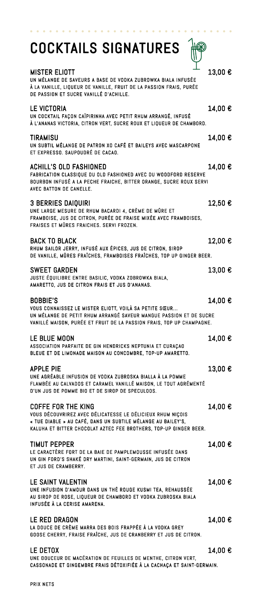| <b>COCKTAILS SIGNATURES</b>                                                                                                                                                                                                  |         |
|------------------------------------------------------------------------------------------------------------------------------------------------------------------------------------------------------------------------------|---------|
| <b>MISTER ELIOTT</b><br>UN MÉLANGE DE SAVEURS A BASE DE VODKA ZUBROWKA BIALA INFUSÉE<br>À LA VANILLE, LIQUEUR DE VANILLE, FRUIT DE LA PASSION FRAIS, PURÉE<br>DE PASSION ET SUCRE VANILLÉ D'ACHILLE.                         | 13,00 € |
| LE VICTORIA<br>UN COCKTAIL FAÇON CAÏPIRINHA AVEC PETIT RHUM ARRANGÉ, INFUSÉ<br>À L'ANANAS VICTORIA, CITRON VERT, SUCRE ROUX ET LIQUEUR DE CHAMBORD.                                                                          | 14,00 € |
| <b>TIRAMISU</b><br>UN SUBTIL MÉLANGE DE PATRON XO CAFÉ ET BAILEYS AVEC MASCARPONE<br>ET EXPRESSO. SAUPOUDRÉ DE CACAO.                                                                                                        | 14,00 € |
| <b>ACHILL'S OLD FASHIONED</b><br>FABRICATION CLASSIQUE DU OLD FASHIONED AVEC DU WOODFORD RESERVE<br>BOURBON INFUSÉ A LA PECHE FRAICHE, BITTER ORANGE, SUCRE ROUX SERVI<br>AVEC BATTON DE CANELLE.                            | 14,00 € |
| <b>3 BERRIES DAIQUIRI</b><br>UNE LARGE MESURE DE RHUM BACARDI 4, CRÈME DE MÛRE ET<br>FRAMBOISE, JUS DE CITRON, PURÉE DE FRAISE MIXÉE AVEC FRAMBOISES,<br>FRAISES ET MÛRES FRAICHES. SERVI FROZEN.                            | 12,50 € |
| <b>BACK TO BLACK</b><br>RHUM SAILOR JERRY, INFUSÉ AUX ÉPICES, JUS DE CITRON, SIROP<br>DE VANILLE, MÛRES FRAÎCHES, FRAMBOISES FRAÎCHES, TOP UP GINGER BEER.                                                                   | 12,00 € |
| <b>SWEET GARDEN</b><br>JUSTE ÉQUILIBRE ENTRE BASILIC, VODKA ZOBROWKA BIALA,<br>AMARETTO, JUS DE CITRON FRAIS ET JUS D'ANANAS.                                                                                                | 13,00 € |
| <b>BOBBIE'S</b><br>VOUS CONNAISSEZ LE MISTER ELIOTT, VOILÀ SA PETITE SŒUR<br>UN MÉLANGE DE PETIT RHUM ARRANGÉ SAVEUR MANGUE PASSION ET DE SUCRE<br>VANILLÉ MAISON, PURÉE ET FRUIT DE LA PASSION FRAIS, TOP UP CHAMPAGNE.     | 14,00 € |
| LE BLUE MOON<br>ASSOCIATION PARFAITE DE GIN HENDRICKS NEPTUNIA ET CURAÇAO<br>BLEUE ET DE LIMONADE MAISON AU CONCOMBRE, TOP-UP AMARETTO.                                                                                      | 14,00 € |
| <b>APPLE PIE</b><br>UNE AGRÉABLE INFUSION DE VODKA ZUBROSKA BIALLA À LA POMME<br>FLAMBÉE AU CALVADOS ET CARAMEL VANILLÉ MAISON, LE TOUT AGRÉMENTÉ<br>D'UN JUS DE POMME BIO ET DE SIROP DE SPECULOOS.                         | 13,00 € |
| <b>COFFE FOR THE KING</b><br>VOUS DÉCOUVRIREZ AVEC DÉLICATESSE LE DÉLICIEUX RHUM NIÇOIS<br>« TUE DIABLE » AU CAFÉ, DANS UN SUBTILE MÉLANGE AU BAILEY'S,<br>KALUHA ET BITTER CHOCOLAT AZTEC FEE BROTHERS, TOP-UP GINGER BEER. | 14.00 € |
| TIMUT PEPPER<br>LE CARACTÈRE FORT DE LA BAIE DE PAMPLEMOUSSE INFUSÉE DANS<br>UN GIN FORD'S SHAKÉ DRY MARTINI, SAINT-GERMAIN, JUS DE CITRON<br>ET JUS DE CRAMBERRY.                                                           | 14,00 € |
| LE SAINT VALENTIN<br>UNE INFUSION D'AMOUR DANS UN THÉ ROUGE KUSMI TEA, REHAUSSÉE<br>AU SIROP DE ROSE, LIQUEUR DE CHAMBORD ET VODKA ZUBROSKA BIALA<br>INFUSÉE À LA CERISE AMARENA.                                            | 14,00 € |
| LE RED DRAGON<br>LA DOUCE DE CRÈME MARRA DES BOIS FRAPPÉE À LA VODKA GREY<br>GOOSE CHERRY, FRAISE FRAÎCHE, JUS DE CRANBERRY ET JUS DE CITRON.                                                                                | 14,00 € |
| LE DETOX<br>UNE DOUCEUR DE MACÉRATION DE FEUILLES DE MENTHE, CITRON VERT,<br>CASSONADE ET GINGEMBRE FRAIS DÉTOXIFIÉE À LA CACHAÇA ET SAINT-GERMAIN.                                                                          | 14,00 € |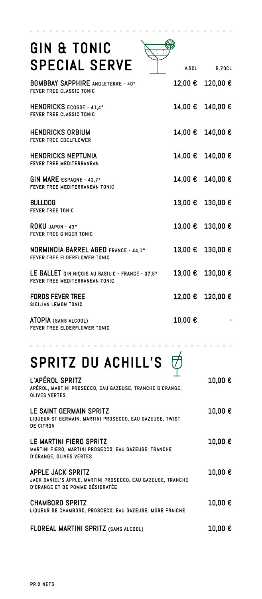| GIN & TONIC<br><b>SPECIAL SERVE</b>                                                |        | V.5CL B.70CL     |
|------------------------------------------------------------------------------------|--------|------------------|
|                                                                                    |        |                  |
| <b>BOMBBAY SAPPHIRE ANGLETERRE - 40°</b><br>FEVER TREE CLASSIC TONIC               |        | 12,00 € 120,00 € |
| HENDRICKS ECOSSE - 41.4°<br><b>FEVER TREE CLASSIC TONIC</b>                        |        | 14,00 € 140,00 € |
| HENDRICKS ORBIUM<br><b>FEVER TREE EDELFLOWER</b>                                   |        | 14,00 € 140,00 € |
| HENDRICKS NEPTUNIA<br><b>FEVER TREE MEDITERRANEAN</b>                              |        | 14,00 € 140,00 € |
| GIN MARE ESPAGNE - 42.7°<br>FEVER TREE MEDITERRANEAN TONIC                         |        | 14,00 € 140,00 € |
| <b>BULLDOG</b><br><b>FEVER TREE TONIC</b>                                          |        | 13,00 € 130,00 € |
| ROKU JAPON - 43°<br><b>FEVER TREE GINGER TONIC</b>                                 |        | 13,00 € 130,00 € |
| <b>NORMINDIA BARREL AGED FRANCE - 44,1°</b><br>FEVER TREE ELDERFLOWER TONIC        |        | 13,00 € 130,00 € |
| LE GALLET GIN NICOIS AU BASILIC - FRANCE - 37,5°<br>FEVER TREE MEDITERRANEAN TONIC |        | 13,00 € 130,00 € |
| <b>FORDS FEVER TREE</b><br>SICILIAN LEMON TONIC                                    |        | 12,00 € 120,00 € |
| ATOPIA (SANS ALCOOL)<br>FEVER TREE ELDERFLOWER TONIC                               | 10,00€ |                  |

## SPRITZ DU ACHILL'S  $\overrightarrow{\phi}$

 $\bullet\hspace{0.2cm}\bullet\hspace{0.2cm}\bullet\hspace{0.2cm}\bullet\hspace{0.2cm}\bullet\hspace{0.2cm}\bullet\hspace{0.2cm}\bullet\hspace{0.2cm}\bullet\hspace{0.2cm}\bullet\hspace{0.2cm}\bullet\hspace{0.2cm}\bullet\hspace{0.2cm}\bullet\hspace{0.2cm}\bullet\hspace{0.2cm}\bullet\hspace{0.2cm}\bullet\hspace{0.2cm}\bullet\hspace{0.2cm}\bullet$ 

| L'APÉROL SPRITZ<br>APÉROL, MARTINI PROSECCO, EAU GAZEUSE, TRANCHE D'ORANGE,<br><b>OLIVES VERTES</b>                 | 10,00 €                    |
|---------------------------------------------------------------------------------------------------------------------|----------------------------|
| LE SAINT GERMAIN SPRITZ<br>LIQUEUR ST GERMAIN, MARTINI PROSECCO, EAU GAZEUSE, TWIST<br><b>DE CITRON</b>             | 10,00 €                    |
| LE MARTINI FIERO SPRITZ<br>MARTINI FIERO, MARTINI PROSECCO, EAU GAZEUSE, TRANCHE<br><b>D'ORANGE, OLIVES VERTES</b>  | $10,00 \text{ }\mathbf{E}$ |
| APPLE JACK SPRITZ<br>JACK DANIEL'S APPLE, MARTINI PROSECCO, EAU GAZEUSE, TRANCHE<br>D'ORANGE ET DE POMME DÉSIDRATÉE | $10,00 \text{ } \in$       |
| CHAMBORD SPRITZ<br>LIOUEUR DE CHAMBORD, PROSCECO, EAU GAZEUSE, MÛRE FRAICHE                                         | 10,00 €                    |
| FLOREAL MARTINI SPRITZ (SANS ALCOOL)                                                                                | 10.00€                     |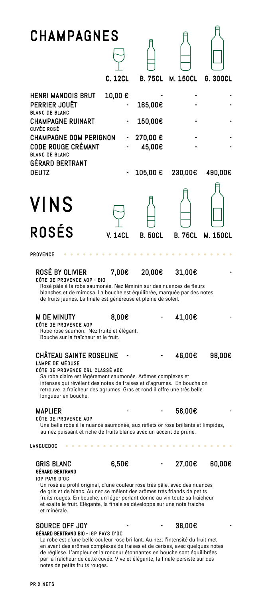## **CHAMPAGNES**

|                                                                                                                                                                             | C. 12CL                        |                                         | B. 75CL M. 150CL | G. 300CL |
|-----------------------------------------------------------------------------------------------------------------------------------------------------------------------------|--------------------------------|-----------------------------------------|------------------|----------|
| <b>HENRI MANDOIS BRUT</b><br>PERRIER JOUËT<br><b>BLANC DE BLANC</b><br><b>CHAMPAGNE RUINART</b><br><b>CUVÉE ROSÉ</b><br>CHAMPAGNE DOM PERIGNON<br><b>CODE ROUGE CRÉMANT</b> | 10,00 €<br>-<br>$\blacksquare$ | 165,00€<br>150,00€<br>270,00€<br>45,00€ |                  |          |
| <b>BLANC DE BLANC</b><br>GÉRARD BERTRANT<br><b>DEUTZ</b>                                                                                                                    |                                | 105,00€                                 | 230,00€          | 490,00€  |



 $\alpha$ 

A

### PROVENCE

## $ROSÉ$  BY OLIVIER  $\qquad 7,00€$  20,00€ 31,00€  $\qquad$  31,00€

 Rosé pâle à la robe saumonée. Nez féminin sur des nuances de fleurs blanches et de mimosa. La bouche est équilibrée, marquée par des notes

de fruits jaunes. La finale est généreuse et pleine de soleil.

## M DE MINUTY  $0.00\epsilon$  - 41,00 $\epsilon$

### CÔTE DE PROVENCE AOP

 Robe rose saumon. Nez fruité et élégant. Bouche sur la fraîcheur et le fruit.

### CHÂTEAU SAINTE ROSELINE  $-$  46.00€ 98.00€ LAMPE DE MÉDUSE

## CÔTE DE PROVENCE CRU CLASSÉ AOC

*Charles Committee* 

 Sa robe claire est légèrement saumonée. Arômes complexes et intenses qui révèlent des notes de fraises et d'agrumes. En bouche on retrouve la fraîcheur des agrumes. Gras et rond il offre une très belle longueur en bouche.

## MAPLIER MAPLIER - - 56,00€ - CÔTE DE PROVENCE AOP

 Une belle robe à la nuance saumonée, aux reflets or rose brillants et limpides, au nez puissant et riche de fruits blancs avec un accent de prune.

### LANGUEDOC

## GRIS BLANC  $6,50\epsilon$  - 27,00€ 60.00€ GÉRARD BERTRAND

 $\sim$ 

IGP PAYS D'OC

 Un rosé au profil original, d'une couleur rose très pâle, avec des nuances de gris et de blanc. Au nez se mêlent des arômes très friands de petits fruits rouges. En bouche, un léger perlant donne au vin toute sa fraicheur et exalte le fruit. Elégante, la finale se développe sur une note fraiche et minérale.

### $S$ OURCE OFF JOY  $-$  36.00€ GÉRARD BERTRAND BIO - IGP PAYS D'OC

 La robe est d'une belle couleur rose brillant. Au nez, l'intensité du fruit met en avant des arômes complexes de fraises et de cerises, avec quelques notes de réglisse. L'ampleur et la rondeur étonnantes en bouche sont équilibrées par la fraîcheur de cette cuvée. Vive et élégante, la finale persiste sur des notes de petits fruits rouges.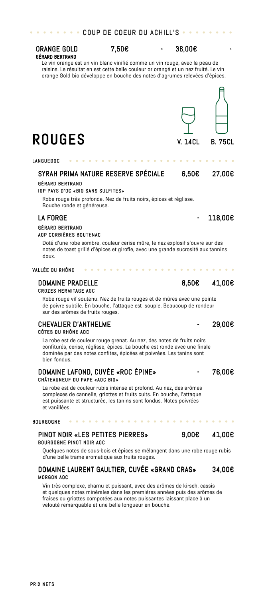## SYRAH PRIMA NATURE RESERVE SPÉCIALE 6,50€ 27.00€

 IGP PAYS D'OC «BIO SANS SULFITES» Robe rouge très profonde. Nez de fruits noirs, épices et réglisse. Bouche ronde et généreuse.

## LA FORGE  $-$  118.00€

GÉRARD BERTRAND

GÉRARD BERTRAND

LANGUEDOC

## GÉRARD BERTRAND AOP CORBIÈRES BOUTENAC

 Doté d'une robe sombre, couleur cerise mûre, le nez explosif s'ouvre sur des notes de toast grillé d'épices et girofle, avec une grande sucrosité aux tannins doux.

## VALLÉE DU RHÔNE

 Robe rouge vif soutenu. Nez de fruits rouges et de mûres avec une pointe de poivre subtile. En bouche, l'attaque est souple. Beaucoup de rondeur sur des arômes de fruits rouges.

## CHEVALIER D'ANTHELME **and a** 29.00€ CÔTES DU RHÔNE AOC

 La robe est de couleur rouge grenat. Au nez, des notes de fruits noirs confiturés, cerise, réglisse, épices. La bouche est ronde avec une finale dominée par des notes confites, épicées et poivrées. Les tanins sont bien fondus.

### DOMAINE LAFOND, CUVÉE «ROC ÉPINE» 176,00€ CHÂTEAUNEUF DU PAPE «AOC BIO»

 La robe est de couleur rubis intense et profond. Au nez, des arômes complexes de cannelle, griottes et fruits cuits. En bouche, l'attaque est puissante et structurée, les tanins sont fondus. Notes poivrées et vanillées.

### **BOURGOGNE**

PRIX NETS

## PINOT NOIR «LES PETITES PIERRES» 9,00€ 41,00€

. . . . . . . .

 Quelques notes de sous-bois et épices se mélangent dans une robe rouge rubis d'une belle trame aromatique aux fruits rouges.

## DOMAINE LAURENT GAULTIER, CUVÉE «GRAND CRAS» 34,00€ MORGON AOC

 Vin très complexe, charnu et puissant, avec des arômes de kirsch, cassis et quelques notes minérales dans les premières années puis des arômes de fraises ou griottes compotées aux notes puissantes laissant place à un velouté remarquable et une belle longueur en bouche.

ORANGE GOLD 7,50€  $-$  36,00€

 Le vin orange est un vin blanc vinifié comme un vin rouge, avec la peau de raisins. Le résultat en est cette belle couleur or orangé et un nez fruité. Le vin orange Gold bio développe en bouche des notes d'agrumes relevées d'épices.



## DOMAINE PRADELLE 8.50€ 41.00€

CROZES HERMITAGE AOC

## **COUP DE COEUR DU ACHILL'S**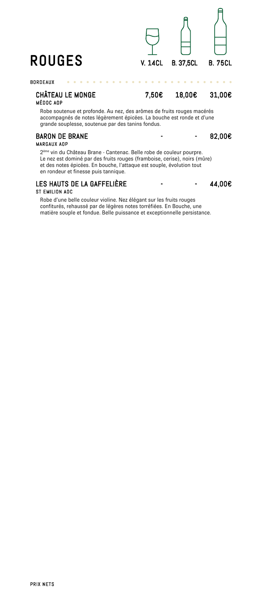

### BORDEAUX

CHÂTEAU LE MONGE 7,50€ 18,00€ 31,00€

## MÉDOC AOP

 Robe soutenue et profonde. Au nez, des arômes de fruits rouges macérés accompagnés de notes légèrement épicées. La bouche est ronde et d'une grande souplesse, soutenue par des tanins fondus.

 $\begin{array}{cccccccccc} \bullet & \bullet & \bullet & \bullet & \bullet & \bullet & \bullet \end{array}$ 

## BARON DE BRANE - - 82,00€<br>MARGAUX AOP

 2ème vin du Château Brane - Cantenac. Belle robe de couleur pourpre. Le nez est dominé par des fruits rouges (framboise, cerise), noirs (mûre) et des notes épicées. En bouche, l'attaque est souple, évolution tout en rondeur et finesse puis tannique.

## LES HAUTS DE LA GAFFELIÈRE GAFFELIÈRE - - 44,00€ ST EMILION AOC

 Robe d'une belle couleur violine. Nez élégant sur les fruits rouges confiturés, rehaussé par de légères notes torréfiées. En Bouche, une matière souple et fondue. Belle puissance et exceptionnelle persistance.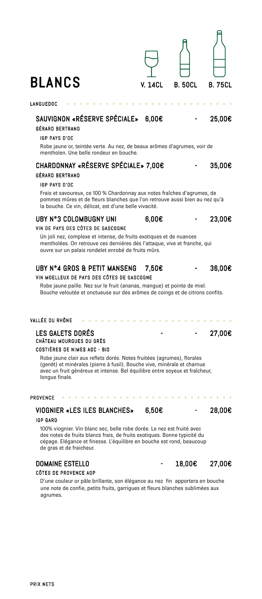| <b>BLANCS</b>                                                                                                                                                                                                                                                                                                                             | <b>V. 14CL</b>        | <b>B. 50CL</b> | <b>B. 75CL</b> |
|-------------------------------------------------------------------------------------------------------------------------------------------------------------------------------------------------------------------------------------------------------------------------------------------------------------------------------------------|-----------------------|----------------|----------------|
| LANGUEDOC                                                                                                                                                                                                                                                                                                                                 |                       |                |                |
| SAUVIGNON «RÉSERVE SPÉCIALE» 6,00€<br>GÉRARD BERTRAND<br>IGP PAYS D'OC<br>Robe jaune or, teintée verte. Au nez, de beaux arômes d'agrumes, voir de<br>mentholen. Une belle rondeur en bouche.                                                                                                                                             |                       |                | 25,00€         |
| CHARDONNAY «RÉSERVE SPÉCIALE» 7,00€<br>GÉRARD BERTRAND<br>IGP PAYS D'OC<br>Frais et savoureux, ce 100 % Chardonnay aux notes fraîches d'agrumes, de                                                                                                                                                                                       |                       |                | 35,00€         |
| pommes mûres et de fleurs blanches que l'on retrouve aussi bien au nez qu'à<br>la bouche. Ce vin, délicat, est d'une belle vivacité.                                                                                                                                                                                                      |                       |                |                |
| UBY N°3 COLOMBUGNY UNI<br>VIN DE PAYS DES CÔTES DE GASCOGNE<br>Un joli nez, complexe et intense, de fruits exotiques et de nuances<br>mentholées. On retrouve ces dernières dès l'attaque, vive et franche, qui<br>ouvre sur un palais rondelet enrobé de fruits mûrs.                                                                    | 6,00E                 |                | 23,00€         |
| UBY N°4 GROS & PETIT MANSENG<br>VIN MOELLEUX DE PAYS DES CÔTES DE GASCOGNE<br>Robe jaune paille. Nez sur le fruit (ananas, mangue) et pointe de miel.<br>Bouche veloutée et onctueuse sur des arômes de coings et de citrons confits.                                                                                                     | 7,50€                 |                | 36,00€         |
| VALLÉE DU RHÔNE                                                                                                                                                                                                                                                                                                                           |                       |                |                |
| <b>LES GALETS DORÉS</b><br>CHÂTEAU MOURGUES DU GRÈS<br>COSTIERES DE NIMES AOC - BIO<br>Robe jaune clair aux reflets dorés. Notes fruitées (agrumes), florales<br>(genêt) et minérales (pierre à fusil). Bouche vive, minérale et charnue<br>avec un fruit généreux et intense. Bel équilibre entre soyeux et fraîcheur,<br>longue finale. |                       |                | 27,00€         |
| PROVENCE<br>.                                                                                                                                                                                                                                                                                                                             | $\bullet\quad\bullet$ |                |                |
| <b>VIOGNIER «LES ILES BLANCHES»</b>                                                                                                                                                                                                                                                                                                       | 6,50€                 |                | 28,00€         |
| <b>IGP GARD</b><br>100% viognier. Vin blanc sec, belle robe dorée. Le nez est fruité avec<br>des notes de fruits blancs frais, de fruits exotiques. Bonne typicité du<br>cépage. Elégance et finesse. L'équilibre en bouche est rond, beaucoup<br>de gras et de fraicheur.                                                                |                       |                |                |
| <b>DOMAINE ESTELLO</b><br>CÔTES DE PROVENCE AOP<br>D'une couleur or pâle brillante, son élégance au nez fin apportera en bouche                                                                                                                                                                                                           |                       | 18,00€         | 27,00€         |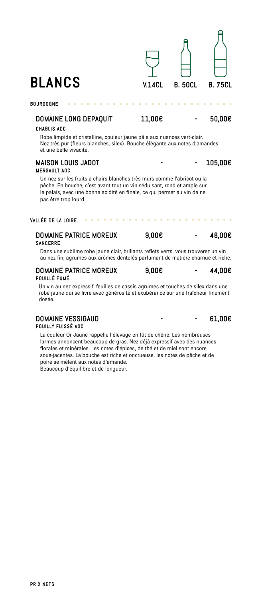## DOMAINE LONG DEPAQUIT 11,00€ - 50,00€

 $\sim$   $\sim$ 

### CHABLIS AOC

BOURGOGNE

 Robe limpide et cristalline, couleur jaune pâle aux nuances vert-clair. Nez très pur (fleurs blanches, silex). Bouche élégante aux notes d'amandes et une belle vivacité.

### MAISON LOUIS JADOT FOR CONTRACT - 105,00€ MERSAULT AOC

 Un nez sur les fruits à chairs blanches très murs comme l'abricot ou la pêche. En bouche, c'est avant tout un vin séduisant, rond et ample sur le palais, avec une bonne acidité en finale, ce qui permet au vin de ne pas être trop lourd.

### VALLÉE DE LA LOIRE

## DOMAINE PATRICE MOREUX 9,00€  $-$  48,00€ SANCERRE

 Dans une sublime robe jaune clair, brillants reflets verts, vous trouverez un vin au nez fin, agrumes aux arômes dentelés parfumant de matière charnue et riche.

### DOMAINE PATRICE MOREUX 9,00€  $-$  44,00€ POUILLÉ FUMÉ

 Un vin au nez expressif, feuilles de cassis agrumes et touches de silex dans une robe jaune qui se livre avec générosité et exubérance sur une fraîcheur finement dosée.

### DOMAINE VESSIGAUD POMAINE VESSIGAUD POUILLY FUISSÉ AOC

 La couleur Or Jaune rappelle l'élevage en fût de chêne. Les nombreuses larmes annoncent beaucoup de gras. Nez déjà expressif avec des nuances florales et minérales. Les notes d'épices, de thé et de miel sont encore sous-jacentes. La bouche est riche et onctueuse, les notes de pêche et de poire se mêlent aux notes d'amande. Beaucoup d'équilibre et de longueur.

 $BLANCS$  V.14CL B. 50CL B. 75CL

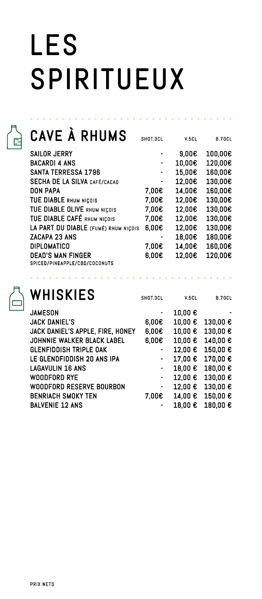# LES SPIRITUEUX

## CAVE À RHUMS SHOT.3CL V.5CL B.70CL

in a strain and

**Allen Adams** 

| <b>SAILOR JERRY</b>                  |       | 9,00E  | 100,00€ |
|--------------------------------------|-------|--------|---------|
| <b>BACARDI 4 ANS</b>                 |       | 10,00€ | 120,00€ |
| <b>SANTA TERRESSA 1796</b>           |       | 15,00€ | 160,00€ |
| <b>SECHA DE LA SILVA CAFÉ/CACAO</b>  |       | 12,00€ | 130,00€ |
| <b>DON PAPA</b>                      | 7,00€ | 14,00€ | 160,00€ |
| TUE DIABLE RHUM NIÇOIS               | 7,00€ | 12,00€ | 130,00€ |
| TUE DIABLE OLIVE RHUM NICOIS         | 7,00€ | 12,00€ | 130,00€ |
| TUE DIABLE CAFÉ RHUM NICOIS          | 7,00€ | 12,00€ | 130,00€ |
| LA PART DU DIABLE (FUMÉ) RHUM NIÇOIS | 6,00E | 12,00€ | 130,00€ |
| ZACAPA 23 ANS                        |       | 18,00€ | 180,00€ |
| <b>DIPLOMATICO</b>                   | 7,00€ | 14,00€ | 160,00€ |
| <b>DEAD'S MAN FINGER</b>             | 6,00E | 12,00€ | 120,00€ |
| SPICED/PINEAPPLE/CBD/COCONUTS        |       |        |         |

|  | WHISKIES |
|--|----------|
|  |          |

SHOT.3CL V.5CL B.70CL

| <b>JAMESON</b>                   |                | 10,00 €          |                   |
|----------------------------------|----------------|------------------|-------------------|
| <b>JACK DANIEL'S</b>             | 6,00E          | 10,00€           | 130,00€           |
| JACK DANIEL'S APPLE, FIRE, HONEY | $6,00 \in$     | 10,00 $\epsilon$ | 130,00 $\epsilon$ |
| JOHNNIE WALKER BLACK LABEL       | 0.006          | 10,00€           | 140,00 $\epsilon$ |
| <b>GLENFIDDISH TRIPLE OAK</b>    | $\blacksquare$ | 12,00 €          | 150,00€           |
| LE GLENDFIDDISH 20 ANS IPA       | $\blacksquare$ | 17,00 €          | 170,00€           |
| LAGAVULIN 16 ANS                 | $\blacksquare$ | 18,00€           | 180,00€           |
| WOODFORD RYE                     | $\blacksquare$ | $12,00$ €        | 130,00 €          |
| WOODFORD RESERVE BOURBON         | $\blacksquare$ | 12,00 €          | 130,00 $\epsilon$ |
| <b>BENRIACH SMOKY TEN</b>        | 7.00E          | 14.00 $\epsilon$ | 150,00 $\epsilon$ |
| <b>BALVENIE 12 ANS</b>           |                | 18,00 €          | 180,00€           |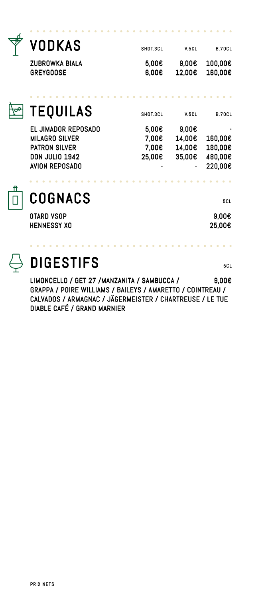|    | VODKAS                | SHOT.3CL | V.5CL  | <b>B.70CL</b> |
|----|-----------------------|----------|--------|---------------|
|    | ZUBROWKA BIALA        | 5,00€    | 9,00E  | 100,00€       |
|    | <b>GREYGOOSE</b>      | 6,00E    | 12,00€ | 160,00€       |
|    |                       |          |        |               |
|    | <b>TEQUILAS</b>       | SHOT.3CL | V.5CL  | <b>B.70CL</b> |
|    | EL JIMADOR REPOSADO   | 5,00E    | 9,00E  |               |
|    | MILAGRO SILVER        | 7,00€    | 14,00€ | 160,00€       |
|    | <b>PATRON SILVER</b>  | 7.00€    | 14,00€ | 180,00€       |
|    | <b>DON JULIO 1942</b> | 25,00€   | 35,00€ | 480,00€       |
|    | AVION REPOSADO        |          |        | 220,00€       |
| ft |                       |          |        |               |
|    | COGNACS               |          |        | <b>5CL</b>    |
|    | OTARD VSOP            |          |        | 9,00E         |

## **DIGESTIFS**

LIMONCELLO / GET 27 /MANZANITA / SAMBUCCA / 9,00€ GRAPPA / POIRE WILLIAMS / BAILEYS / AMARETTO / COINTREAU / CALVADOS / ARMAGNAC / JÄGERMEISTER / CHARTREUSE / LE TUE DIABLE CAFÉ / GRAND MARNIER

HENNESSY XO 25,00€